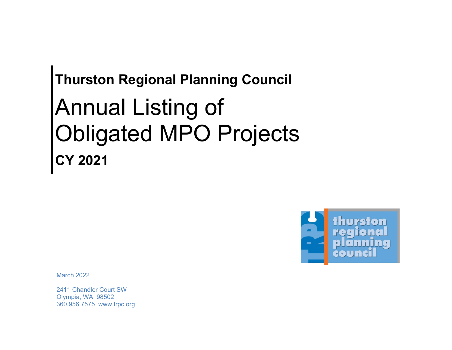## **Thurston Regional Planning Council**  Annual Listing of Obligated MPO Projects **CY 2021**



March 2022

2411 Chandler Court SW Olympia, WA 98502 360.956.7575 <www.trpc.org>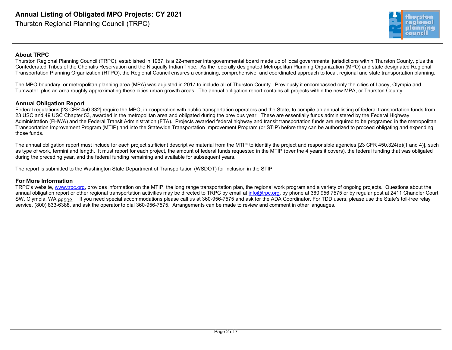

## **About TRPC**

Thurston Regional Planning Council (TRPC), established in 1967, is a 22-member intergovernmental board made up of local governmental jurisdictions within Thurston County, plus the Confederated Tribes of the Chehalis Reservation and the Nisqually Indian Tribe. As the federally designated Metropolitan Planning Organization (MPO) and state designated Regional Transportation Planning Organization (RTPO), the Regional Council ensures a continuing, comprehensive, and coordinated approach to local, regional and state transportation planning.

The MPO boundary, or metropolitan planning area (MPA) was adjusted in 2017 to include all of Thurston County. Previously it encompassed only the cities of Lacey, Olympia and Tumwater, plus an area roughly approximating these cities urban growth areas. The annual obligation report contains all projects within the new MPA, or Thurston County.

## **Annual Obligation Report**

**Annual Listing of Obligated MPO Projects: CY 2021**<br>
Thurston Regional Planning Council (TRPC), established in 1987, is a 22-member interporemental<br>
Motut TRPC<br>
Characteristics regional Council (TRPC), established in 1987, Federal regulations [23 CFR 450.332] require the MPO, in cooperation with public transportation operators and the State, to compile an annual listing of federal transportation funds from 23 USC and 49 USC Chapter 53, awarded in the metropolitan area and obligated during the previous year. These are essentially funds administered by the Federal Highway Administration (FHWA) and the Federal Transit Administration (FTA). Projects awarded federal highway and transit transportation funds are required to be programed in the metropolitan Transportation Improvement Program (MTIP) and into the Statewide Transportation Improvement Program (or STIP) before they can be authorized to proceed obligating and expending those funds.

The annual obligation report must include for each project sufficient descriptive material from the MTIP to identify the project and responsible agencies [23 CFR 450.324(e)(1 and 4)], such as type of work, termini and length. It must report for each project, the amount of federal funds requested in the MTIP (over the 4 years it covers), the federal funding that was obligated during the preceding year, and the federal funding remaining and available for subsequent years.

The report is submitted to the Washington State Department of Transportation (WSDOT) for inclusion in the STIP.

## **For More Information**

TRPC's website, <www.trpc.org>, provides information on the MTIP, the long range transportation plan, the regional work program and a variety of ongoing projects. Questions about the annual obligation report or other regional transportation activities may be directed to TRPC by email at [info@trpc.org](mailto:info@trpc.org), by phone at 360.956.7575 or by regular post at 2411 Chandler Court SW, Olympia, WA 98502. If you need special accommodations please call us at 360-956-7575 and ask for the ADA Coordinator. For TDD users, please use the State's toll-free relay service, (800) 833-6388, and ask the operator to dial 360-956-7575. Arrangements can be made to review and comment in other languages.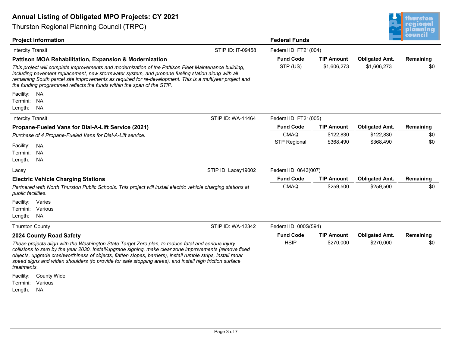

| <b>Annual Listing of Obligated MPO Projects: CY 2021</b>                                                                                                                                                                                                                                                                                                                                                                                                              |                              |                                  |                                      | thurston             |
|-----------------------------------------------------------------------------------------------------------------------------------------------------------------------------------------------------------------------------------------------------------------------------------------------------------------------------------------------------------------------------------------------------------------------------------------------------------------------|------------------------------|----------------------------------|--------------------------------------|----------------------|
| <b>Thurston Regional Planning Council (TRPC)</b>                                                                                                                                                                                                                                                                                                                                                                                                                      |                              |                                  |                                      | regional<br>plannıng |
| <b>Project Information</b>                                                                                                                                                                                                                                                                                                                                                                                                                                            | <b>Federal Funds</b>         |                                  |                                      | iouncil              |
| STIP ID: IT-09458<br><b>Intercity Transit</b>                                                                                                                                                                                                                                                                                                                                                                                                                         | Federal ID: FT21(004)        |                                  |                                      |                      |
| <b>Pattison MOA Rehabilitation, Expansion &amp; Modernization</b><br>This project will complete improvements and modernization of the Pattison Fleet Maintenance building,<br>including pavement replacement, new stormwater system, and propane fueling station along with all<br>remaining South parcel site improvements as required for re-development. This is a multiyear project and<br>the funding programmed reflects the funds within the span of the STIP. | <b>Fund Code</b><br>STP (US) | <b>TIP Amount</b><br>\$1,606,273 | <b>Obligated Amt.</b><br>\$1,606,273 | Remaining<br>\$0     |
| Facility:<br>NA.<br>Termini: NA<br>Length:<br>NA                                                                                                                                                                                                                                                                                                                                                                                                                      |                              |                                  |                                      |                      |
| STIP ID: WA-11464<br><b>Intercity Transit</b>                                                                                                                                                                                                                                                                                                                                                                                                                         | Federal ID: FT21(005)        |                                  |                                      |                      |
| Propane-Fueled Vans for Dial-A-Lift Service (2021)                                                                                                                                                                                                                                                                                                                                                                                                                    | <b>Fund Code</b>             | <b>TIP Amount</b>                | <b>Obligated Amt.</b>                | Remaining            |
| Purchase of 4 Propane-Fueled Vans for Dial-A-Lift service.                                                                                                                                                                                                                                                                                                                                                                                                            | <b>CMAQ</b>                  | \$122,830                        | \$122,830                            | \$0                  |
| Facility:<br>NA<br>Termini:<br><b>NA</b><br>Length:<br>NA.                                                                                                                                                                                                                                                                                                                                                                                                            | <b>STP Regional</b>          | \$368,490                        | \$368,490                            | \$0                  |
| STIP ID: Lacey19002<br>Lacey                                                                                                                                                                                                                                                                                                                                                                                                                                          |                              | Federal ID: 0643(007)            |                                      |                      |
| <b>Electric Vehicle Charging Stations</b>                                                                                                                                                                                                                                                                                                                                                                                                                             | <b>Fund Code</b>             | <b>TIP Amount</b>                | <b>Obligated Amt.</b>                | Remaining            |
| Partnered with North Thurston Public Schools. This project will install electric vehicle charging stations at<br>public facilities.                                                                                                                                                                                                                                                                                                                                   | <b>CMAQ</b>                  | \$259,500                        | \$259,500                            | \$0                  |
| Facility:<br>Varies<br>Various<br>Termini:<br>Length:<br>NA                                                                                                                                                                                                                                                                                                                                                                                                           |                              |                                  |                                      |                      |
| STIP ID: WA-12342<br><b>Thurston County</b>                                                                                                                                                                                                                                                                                                                                                                                                                           | Federal ID: 000S(594)        |                                  |                                      |                      |
| 2024 County Road Safety                                                                                                                                                                                                                                                                                                                                                                                                                                               | <b>Fund Code</b>             | <b>TIP Amount</b>                | <b>Obligated Amt.</b>                | Remaining            |
| These projects align with the Washington State Target Zero plan, to reduce fatal and serious injury<br>collisions to zero by the year 2030. Install/upgrade signing, make clear zone improvements (remove fixed<br>objects, upgrade crashworthiness of objects, flatten slopes, barriers), install rumble strips, install radar<br>speed signs and widen shoulders (to provide for safe stopping areas), and install high friction surface<br>treatments.             | <b>HSIP</b>                  | \$270,000                        | \$270,000                            | \$0                  |
| Facility:<br><b>County Wide</b>                                                                                                                                                                                                                                                                                                                                                                                                                                       |                              |                                  |                                      |                      |
| Termini:<br>Various                                                                                                                                                                                                                                                                                                                                                                                                                                                   |                              |                                  |                                      |                      |
| <b>NA</b><br>Length:                                                                                                                                                                                                                                                                                                                                                                                                                                                  |                              |                                  |                                      |                      |
| Page 3 of 7                                                                                                                                                                                                                                                                                                                                                                                                                                                           |                              |                                  |                                      |                      |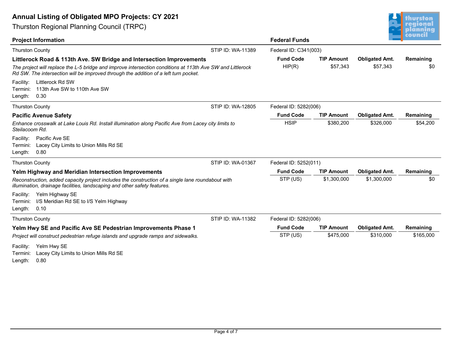

| <b>Annual Listing of Obligated MPO Projects: CY 2021</b>                                                                                                                                           |                   |                       |                   |                       | thurston                    |
|----------------------------------------------------------------------------------------------------------------------------------------------------------------------------------------------------|-------------------|-----------------------|-------------------|-----------------------|-----------------------------|
| <b>Thurston Regional Planning Council (TRPC)</b>                                                                                                                                                   |                   |                       |                   |                       | <u>regional</u><br>planning |
| <b>Project Information</b>                                                                                                                                                                         |                   | <b>Federal Funds</b>  |                   |                       | <u>council</u>              |
| <b>Thurston County</b>                                                                                                                                                                             | STIP ID: WA-11389 | Federal ID: C341(003) |                   |                       |                             |
| Littlerock Road & 113th Ave. SW Bridge and Intersection Improvements                                                                                                                               |                   | <b>Fund Code</b>      | <b>TIP Amount</b> | <b>Obligated Amt.</b> | Remaining                   |
| The project will replace the L-5 bridge and improve intersection conditions at 113th Ave SW and Littlerock<br>Rd SW. The intersection will be improved through the addition of a left turn pocket. |                   | HIP(R)                | \$57,343          | \$57,343              | \$0                         |
| Littlerock Rd SW<br>Facility:<br>113th Ave SW to 110th Ave SW<br>Termini:<br>Length:<br>0.30                                                                                                       |                   |                       |                   |                       |                             |
| <b>Thurston County</b>                                                                                                                                                                             | STIP ID: WA-12805 | Federal ID: 5282(006) |                   |                       |                             |
| <b>Pacific Avenue Safety</b>                                                                                                                                                                       |                   | <b>Fund Code</b>      | <b>TIP Amount</b> | <b>Obligated Amt.</b> | Remaining                   |
| Enhance crosswalk at Lake Louis Rd. Install illumination along Pacific Ave from Lacey city limits to<br>Steilacoom Rd.                                                                             |                   | <b>HSIP</b>           | \$380,200         | \$326,000             | \$54,200                    |
| Pacific Ave SE<br>Facility:<br>Lacey City Limits to Union Mills Rd SE<br>Termini:<br>Length:<br>0.80                                                                                               |                   |                       |                   |                       |                             |
| <b>Thurston County</b>                                                                                                                                                                             | STIP ID: WA-01367 | Federal ID: 5252(011) |                   |                       |                             |
| Yelm Highway and Meridian Intersection Improvements                                                                                                                                                |                   | <b>Fund Code</b>      | <b>TIP Amount</b> | <b>Obligated Amt.</b> | Remaining                   |
| Reconstruction, added capacity project includes the construction of a single lane roundabout with<br>illumination, drainage facilities, landscaping and other safety features.                     |                   | STP (US)              | \$1,300,000       | \$1,300,000           | \$0                         |
| Yelm Highway SE<br>Facility:                                                                                                                                                                       |                   |                       |                   |                       |                             |
| I/S Meridian Rd SE to I/S Yelm Highway<br>Termini:<br>Length:<br>0.10                                                                                                                              |                   |                       |                   |                       |                             |
| <b>Thurston County</b>                                                                                                                                                                             | STIP ID: WA-11382 | Federal ID: 5282(006) |                   |                       |                             |
| Yelm Hwy SE and Pacific Ave SE Pedestrian Improvements Phase 1                                                                                                                                     |                   | <b>Fund Code</b>      | <b>TIP Amount</b> | <b>Obligated Amt.</b> | Remaining                   |
| Project will construct pedestrian refuge islands and upgrade ramps and sidewalks.                                                                                                                  |                   | STP (US)              | \$475,000         | \$310,000             | \$165,000                   |
| Facility:<br>Yelm Hwy SE<br>Lacey City Limits to Union Mills Rd SE<br>Termini:<br>Length:<br>0.80                                                                                                  |                   |                       |                   |                       |                             |
|                                                                                                                                                                                                    |                   |                       |                   |                       |                             |
|                                                                                                                                                                                                    |                   |                       |                   |                       |                             |
|                                                                                                                                                                                                    |                   |                       |                   |                       |                             |
|                                                                                                                                                                                                    |                   |                       |                   |                       |                             |
|                                                                                                                                                                                                    |                   |                       |                   |                       |                             |
|                                                                                                                                                                                                    |                   |                       |                   |                       |                             |
|                                                                                                                                                                                                    |                   |                       |                   |                       |                             |
|                                                                                                                                                                                                    | Page 4 of 7       |                       |                   |                       |                             |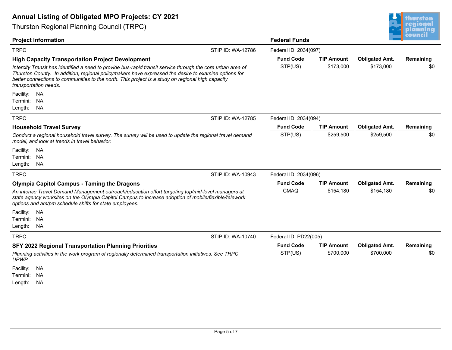

| <b>Annual Listing of Obligated MPO Projects: CY 2021</b>                                                                                                                                                                                                                                                                                                                                                     |                             |                                |                                    | thurston                    |
|--------------------------------------------------------------------------------------------------------------------------------------------------------------------------------------------------------------------------------------------------------------------------------------------------------------------------------------------------------------------------------------------------------------|-----------------------------|--------------------------------|------------------------------------|-----------------------------|
| <b>Thurston Regional Planning Council (TRPC)</b>                                                                                                                                                                                                                                                                                                                                                             |                             |                                |                                    | <u>regional</u><br>planning |
| <b>Project Information</b>                                                                                                                                                                                                                                                                                                                                                                                   | <b>Federal Funds</b>        |                                |                                    | :ouncil                     |
| <b>TRPC</b><br>STIP ID: WA-12786                                                                                                                                                                                                                                                                                                                                                                             | Federal ID: 2034(097)       |                                |                                    |                             |
| <b>High Capacity Transportation Project Development</b><br>Intercity Transit has identified a need to provide bus-rapid transit service through the core urban area of<br>Thurston County. In addition, regional policymakers have expressed the desire to examine options for<br>better connections to communities to the north. This project is a study on regional high capacity<br>transportation needs. | <b>Fund Code</b><br>STP(US) | <b>TIP Amount</b><br>\$173,000 | <b>Obligated Amt.</b><br>\$173,000 | Remaining<br>\$0            |
| Facility:<br><b>NA</b><br><b>NA</b><br>Termini:<br>Length:<br><b>NA</b>                                                                                                                                                                                                                                                                                                                                      |                             |                                |                                    |                             |
| <b>TRPC</b><br>STIP ID: WA-12785                                                                                                                                                                                                                                                                                                                                                                             | Federal ID: 2034(094)       |                                |                                    |                             |
| <b>Household Travel Survey</b>                                                                                                                                                                                                                                                                                                                                                                               | <b>Fund Code</b>            | <b>TIP Amount</b>              | <b>Obligated Amt.</b>              | Remaining                   |
| Conduct a regional household travel survey. The survey will be used to update the regional travel demand<br>model, and look at trends in travel behavior.<br>Facility:<br>NA.                                                                                                                                                                                                                                | STP(US)                     | \$259,500                      | \$259,500                          | \$0                         |
| Termini:<br><b>NA</b><br>Length:<br>NA                                                                                                                                                                                                                                                                                                                                                                       |                             |                                |                                    |                             |
| <b>TRPC</b><br>STIP ID: WA-10943                                                                                                                                                                                                                                                                                                                                                                             | Federal ID: 2034(096)       |                                |                                    |                             |
| <b>Olympia Capitol Campus - Taming the Dragons</b>                                                                                                                                                                                                                                                                                                                                                           | <b>Fund Code</b>            | <b>TIP Amount</b>              | <b>Obligated Amt.</b>              | Remaining                   |
| An intense Travel Demand Management outreach/education effort targeting top/mid-level managers at<br>state agency worksites on the Olympia Capitol Campus to increase adoption of mobile/flexible/telework<br>options and am/pm schedule shifts for state employees.                                                                                                                                         | <b>CMAQ</b>                 | \$154,180                      | \$154,180                          | \$0                         |
| Facility:<br>NA.                                                                                                                                                                                                                                                                                                                                                                                             |                             |                                |                                    |                             |
| <b>NA</b><br>Termini:<br>Length:<br>NA                                                                                                                                                                                                                                                                                                                                                                       |                             |                                |                                    |                             |
| <b>TRPC</b><br>STIP ID: WA-10740                                                                                                                                                                                                                                                                                                                                                                             | Federal ID: PD22(005)       |                                |                                    |                             |
| <b>SFY 2022 Regional Transportation Planning Priorities</b>                                                                                                                                                                                                                                                                                                                                                  | <b>Fund Code</b>            | <b>TIP Amount</b>              | <b>Obligated Amt.</b>              | Remaining                   |
| Planning activities in the work program of regionally determined transportation initiatives. See TRPC<br>UPWP.                                                                                                                                                                                                                                                                                               | STP(US)                     | \$700,000                      | \$700,000                          | \$0                         |
| Facility:<br>NA.<br>Termini: NA<br><b>NA</b><br>Length:                                                                                                                                                                                                                                                                                                                                                      |                             |                                |                                    |                             |
| Page 5 of 7                                                                                                                                                                                                                                                                                                                                                                                                  |                             |                                |                                    |                             |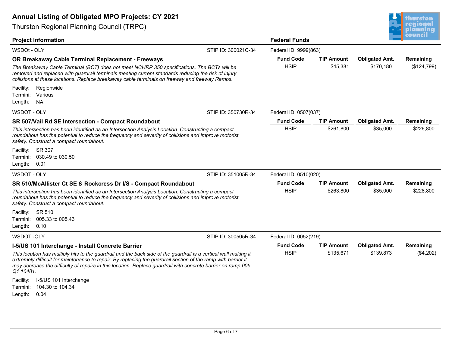

| <b>Annual Listing of Obligated MPO Projects: CY 2021</b>                                                                                                                                                                                                                                                                                                       |                     |                                 |                               |                                    | thurston                 |
|----------------------------------------------------------------------------------------------------------------------------------------------------------------------------------------------------------------------------------------------------------------------------------------------------------------------------------------------------------------|---------------------|---------------------------------|-------------------------------|------------------------------------|--------------------------|
| <b>Thurston Regional Planning Council (TRPC)</b>                                                                                                                                                                                                                                                                                                               |                     |                                 |                               |                                    | regional<br>planning     |
| <b>Project Information</b>                                                                                                                                                                                                                                                                                                                                     |                     | <b>Federal Funds</b>            |                               |                                    | iouncil                  |
| WSDOt - OLY                                                                                                                                                                                                                                                                                                                                                    | STIP ID: 300021C-34 | Federal ID: 9999(863)           |                               |                                    |                          |
| OR Breakaway Cable Terminal Replacement - Freeways<br>The Breakaway Cable Terminal (BCT) does not meet NCHRP 350 specifications. The BCTs will be<br>removed and replaced with guardrail terminals meeting current standards reducing the risk of injury<br>collisions at these locations. Replace breakaway cable terminals on freeway and freeway Ramps.     |                     | <b>Fund Code</b><br><b>HSIP</b> | <b>TIP Amount</b><br>\$45,381 | <b>Obligated Amt.</b><br>\$170,180 | Remaining<br>(\$124,799) |
| Facility:<br>Regionwide<br>Various<br>Termini:<br>Length:<br><b>NA</b>                                                                                                                                                                                                                                                                                         |                     |                                 |                               |                                    |                          |
| WSDOT - OLY                                                                                                                                                                                                                                                                                                                                                    | STIP ID: 350730R-34 | Federal ID: 0507(037)           |                               |                                    |                          |
| <b>SR 507/Vail Rd SE Intersection - Compact Roundabout</b>                                                                                                                                                                                                                                                                                                     |                     | <b>Fund Code</b>                | <b>TIP Amount</b>             | <b>Obligated Amt.</b>              | Remaining                |
| This intersection has been identified as an Intersection Analysis Location. Constructing a compact<br>roundabout has the potential to reduce the frequency and severity of collisions and improve motorist<br>safety. Construct a compact roundabout.                                                                                                          |                     | <b>HSIP</b>                     | \$261,800                     | \$35,000                           | \$226,800                |
| Facility:<br>SR 307<br>Termini:<br>030.49 to 030.50<br>Length:<br>0.01                                                                                                                                                                                                                                                                                         |                     |                                 |                               |                                    |                          |
| WSDOT - OLY                                                                                                                                                                                                                                                                                                                                                    | STIP ID: 351005R-34 | Federal ID: 0510(020)           |                               |                                    |                          |
| SR 510/McAllister Ct SE & Rockcress Dr I/S - Compact Roundabout                                                                                                                                                                                                                                                                                                |                     | <b>Fund Code</b>                | <b>TIP Amount</b>             | <b>Obligated Amt.</b>              | Remaining                |
| This intersection has been identified as an Intersection Analysis Location. Constructing a compact<br>roundabout has the potential to reduce the frequency and severity of collisions and improve motorist<br>safety. Construct a compact roundabout.<br>Facility:<br>SR 510<br>005.33 to 005.43<br>Termini:                                                   |                     | <b>HSIP</b>                     | \$263,800                     | \$35,000                           | \$228,800                |
| Length:<br>0.10                                                                                                                                                                                                                                                                                                                                                |                     |                                 |                               |                                    |                          |
| <b>WSDOT-OLY</b>                                                                                                                                                                                                                                                                                                                                               | STIP ID: 300505R-34 | Federal ID: 0052(219)           |                               |                                    |                          |
| I-5/US 101 Interchange - Install Concrete Barrier                                                                                                                                                                                                                                                                                                              |                     | <b>Fund Code</b>                | <b>TIP Amount</b>             | <b>Obligated Amt.</b>              | Remaining                |
| This location has multiply hits to the guardrail and the back side of the guardrail is a vertical wall making it<br>extremely difficult for maintenance to repair. By replacing the guardrail section of the ramp with barrier it<br>may decrease the difficulty of repairs in this location. Replace guardrail with concrete barrier on ramp 005<br>Q1 10481. |                     | <b>HSIP</b>                     | \$135,671                     | \$139,873                          | (\$4,202)                |
| Facility: I-5/US 101 Interchange<br>Termini: 104.30 to 104.34<br>Length:<br>0.04                                                                                                                                                                                                                                                                               |                     |                                 |                               |                                    |                          |
|                                                                                                                                                                                                                                                                                                                                                                | Page 6 of 7         |                                 |                               |                                    |                          |